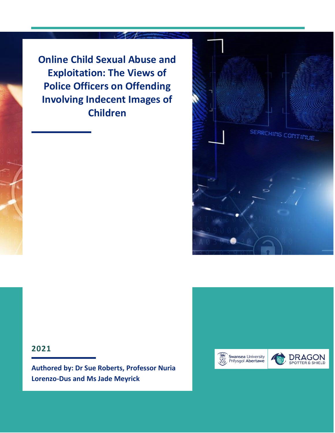**Online Child Sexual Abuse and Exploitation: The Views of Police Officers on Offending Involving Indecent Images of Children**





**Authored by: Dr Sue Roberts, Professor Nuria Lorenzo-Dus and Ms Jade Meyrick**



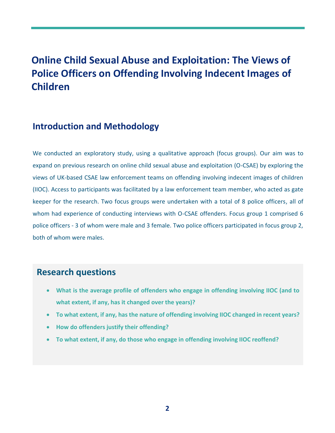# **Online Child Sexual Abuse and Exploitation: The Views of Police Officers on Offending Involving Indecent Images of Children**

### **Introduction and Methodology**

We conducted an exploratory study, using a qualitative approach (focus groups). Our aim was to expand on previous research on online child sexual abuse and exploitation (O-CSAE) by exploring the views of UK-based CSAE law enforcement teams on offending involving indecent images of children (IIOC). Access to participants was facilitated by a law enforcement team member, who acted as gate keeper for the research. Two focus groups were undertaken with a total of 8 police officers, all of whom had experience of conducting interviews with O-CSAE offenders. Focus group 1 comprised 6 police officers - 3 of whom were male and 3 female. Two police officers participated in focus group 2, both of whom were males.

### **Research questions**

- **What is the average profile of offenders who engage in offending involving IIOC (and to what extent, if any, has it changed over the years)?**
- **To what extent, if any, has the nature of offending involving IIOC changed in recent years?**
- **How do offenders justify their offending?**
- **To what extent, if any, do those who engage in offending involving IIOC reoffend?**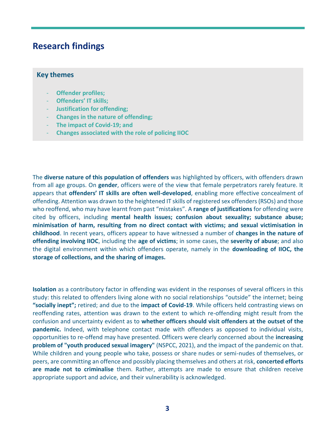### **Research findings**

#### **Key themes**

- **Offender profiles;**
- **Offenders' IT skills;**
- **Justification for offending;**
- **Changes in the nature of offending;**
- The impact of Covid-19; and
- **Changes associated with the role of policing IIOC**

The **diverse nature of this population of offenders** was highlighted by officers, with offenders drawn from all age groups. On **gender**, officers were of the view that female perpetrators rarely feature. It appears that **offenders' IT skills are often well-developed**, enabling more effective concealment of offending. Attention was drawn to the heightened IT skills of registered sex offenders (RSOs) and those who reoffend, who may have learnt from past "mistakes". A **range of justifications** for offending were cited by officers, including **mental health issues; confusion about sexuality; substance abuse; minimisation of harm, resulting from no direct contact with victims; and sexual victimisation in childhood**. In recent years, officers appear to have witnessed a number of **changes in the nature of offending involving IIOC**, including the **age of victims**; in some cases, the **severity of abuse**; and also the digital environment within which offenders operate, namely in the **downloading of IIOC, the storage of collections, and the sharing of images.**

**Isolation** as a contributory factor in offending was evident in the responses of several officers in this study: this related to offenders living alone with no social relationships "outside" the internet; being **"socially inept";** retired; and due to the **impact of Covid-19**. While officers held contrasting views on reoffending rates, attention was drawn to the extent to which re-offending might result from the confusion and uncertainty evident as to **whether officers should visit offenders at the outset of the pandemic.** Indeed, with telephone contact made with offenders as opposed to individual visits, opportunities to re-offend may have presented. Officers were clearly concerned about the **increasing problem of "youth produced sexual imagery"** (NSPCC, 2021), and the impact of the pandemic on that. While children and young people who take, possess or share nudes or semi-nudes of themselves, or peers, are committing an offence and possibly placing themselves and others at risk, **concerted efforts are made not to criminalise** them. Rather, attempts are made to ensure that children receive appropriate support and advice, and their vulnerability is acknowledged.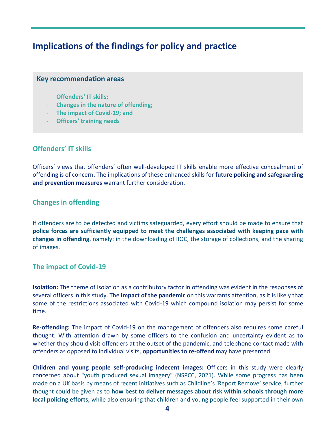## **Implications of the findings for policy and practice**

#### **Key recommendation areas**

- **Offenders' IT skills;**
- **Changes in the nature of offending;**
- **The impact of Covid-19; and**
- **Officers' training needs**

#### **Offenders' IT skills**

Officers' views that offenders' often well-developed IT skills enable more effective concealment of offending is of concern. The implications of these enhanced skills for **future policing and safeguarding and prevention measures** warrant further consideration.

#### **Changes in offending**

If offenders are to be detected and victims safeguarded, every effort should be made to ensure that **police forces are sufficiently equipped to meet the challenges associated with keeping pace with changes in offending**, namely: in the downloading of IIOC, the storage of collections, and the sharing of images.

#### **The impact of Covid-19**

**Isolation:** The theme of isolation as a contributory factor in offending was evident in the responses of several officers in this study. The **impact of the pandemic** on this warrants attention, as it is likely that some of the restrictions associated with Covid-19 which compound isolation may persist for some time.

**Re-offending:** The impact of Covid-19 on the management of offenders also requires some careful thought. With attention drawn by some officers to the confusion and uncertainty evident as to whether they should visit offenders at the outset of the pandemic, and telephone contact made with offenders as opposed to individual visits, **opportunities to re-offend** may have presented.

**Children and young people self-producing indecent images:** Officers in this study were clearly concerned about "youth produced sexual imagery" (NSPCC, 2021). While some progress has been made on a UK basis by means of recent initiatives such as Childline's 'Report Remove' service, further thought could be given as to **how best to deliver messages about risk within schools through more local policing efforts,** while also ensuring that children and young people feel supported in their own